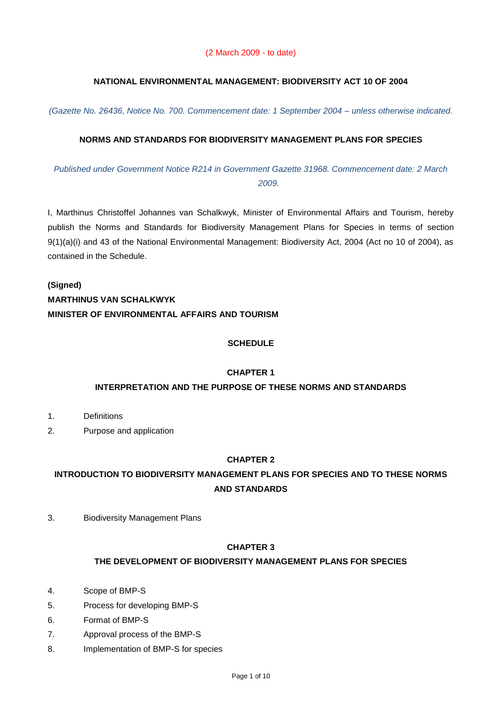## **NATIONAL ENVIRONMENTAL MANAGEMENT: BIODIVERSITY ACT 10 OF 2004**

*(Gazette No. 26436, Notice No. 700. Commencement date: 1 September 2004 – unless otherwise indicated.* 

## **NORMS AND STANDARDS FOR BIODIVERSITY MANAGEMENT PLANS FOR SPECIES**

*Published under Government Notice R214 in Government Gazette 31968. Commencement date: 2 March 2009.*

I, Marthinus Christoffel Johannes van Schalkwyk, Minister of Environmental Affairs and Tourism, hereby publish the Norms and Standards for Biodiversity Management Plans for Species in terms of section 9(1)(a)(i) and 43 of the National Environmental Management: Biodiversity Act, 2004 (Act no 10 of 2004), as contained in the Schedule.

# **(Signed) MARTHINUS VAN SCHALKWYK MINISTER OF ENVIRONMENTAL AFFAIRS AND TOURISM**

## **SCHEDULE**

#### **CHAPTER 1**

#### **INTERPRETATION AND THE PURPOSE OF THESE NORMS AND STANDARDS**

- 1. Definitions
- 2. Purpose and application

## **CHAPTER 2**

## **INTRODUCTION TO BIODIVERSITY MANAGEMENT PLANS FOR SPECIES AND TO THESE NORMS AND STANDARDS**

3. Biodiversity Management Plans

### **CHAPTER 3**

#### **THE DEVELOPMENT OF BIODIVERSITY MANAGEMENT PLANS FOR SPECIES**

- 4. Scope of BMP-S
- 5. Process for developing BMP-S
- 6. Format of BMP-S
- 7. Approval process of the BMP-S
- 8. Implementation of BMP-S for species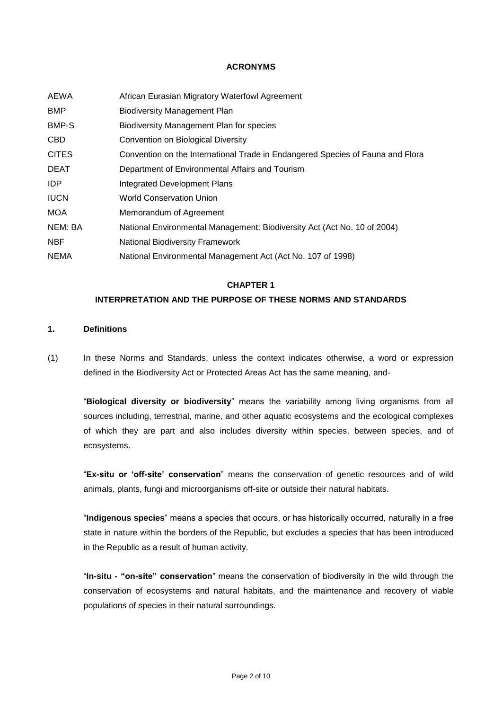#### **ACRONYMS**

| AEWA         | African Eurasian Migratory Waterfowl Agreement                                 |
|--------------|--------------------------------------------------------------------------------|
| <b>BMP</b>   | <b>Biodiversity Management Plan</b>                                            |
| BMP-S        | Biodiversity Management Plan for species                                       |
| <b>CBD</b>   | Convention on Biological Diversity                                             |
| <b>CITES</b> | Convention on the International Trade in Endangered Species of Fauna and Flora |
| <b>DEAT</b>  | Department of Environmental Affairs and Tourism                                |
| IDP.         | Integrated Development Plans                                                   |
| <b>IUCN</b>  | <b>World Conservation Union</b>                                                |
| <b>MOA</b>   | Memorandum of Agreement                                                        |
| NEM: BA      | National Environmental Management: Biodiversity Act (Act No. 10 of 2004)       |
| <b>NBF</b>   | <b>National Biodiversity Framework</b>                                         |
| <b>NEMA</b>  | National Environmental Management Act (Act No. 107 of 1998)                    |

#### **CHAPTER 1**

## **INTERPRETATION AND THE PURPOSE OF THESE NORMS AND STANDARDS**

#### **1. Definitions**

(1) In these Norms and Standards, unless the context indicates otherwise, a word or expression defined in the Biodiversity Act or Protected Areas Act has the same meaning, and-

"**Biological diversity or biodiversity**" means the variability among living organisms from all sources including, terrestrial, marine, and other aquatic ecosystems and the ecological complexes of which they are part and also includes diversity within species, between species, and of ecosystems.

"**Ex-situ or "off-site" conservation**" means the conservation of genetic resources and of wild animals, plants, fungi and microorganisms off-site or outside their natural habitats.

"**Indigenous species**" means a species that occurs, or has historically occurred, naturally in a free state in nature within the borders of the Republic, but excludes a species that has been introduced in the Republic as a result of human activity.

"**In-situ - "on-site" conservation**" means the conservation of biodiversity in the wild through the conservation of ecosystems and natural habitats, and the maintenance and recovery of viable populations of species in their natural surroundings.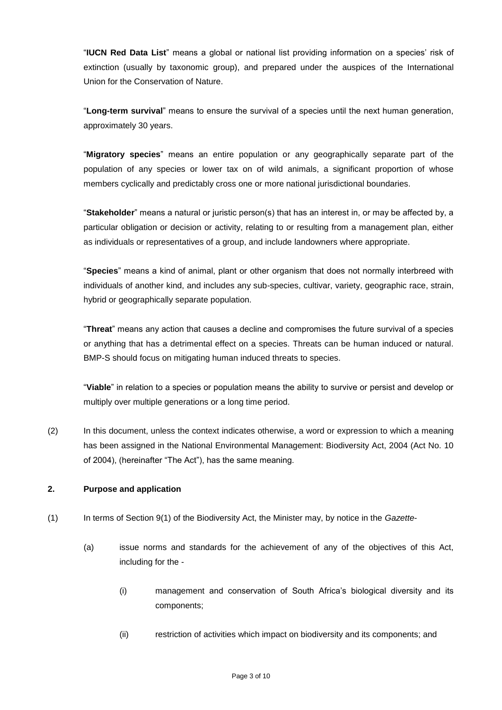"**IUCN Red Data List**" means a global or national list providing information on a species' risk of extinction (usually by taxonomic group), and prepared under the auspices of the International Union for the Conservation of Nature.

"**Long-term survival**" means to ensure the survival of a species until the next human generation, approximately 30 years.

"**Migratory species**" means an entire population or any geographically separate part of the population of any species or lower tax on of wild animals, a significant proportion of whose members cyclically and predictably cross one or more national jurisdictional boundaries.

"**Stakeholder**" means a natural or juristic person(s) that has an interest in, or may be affected by, a particular obligation or decision or activity, relating to or resulting from a management plan, either as individuals or representatives of a group, and include landowners where appropriate.

"**Species**" means a kind of animal, plant or other organism that does not normally interbreed with individuals of another kind, and includes any sub-species, cultivar, variety, geographic race, strain, hybrid or geographically separate population.

"**Threat**" means any action that causes a decline and compromises the future survival of a species or anything that has a detrimental effect on a species. Threats can be human induced or natural. BMP-S should focus on mitigating human induced threats to species.

"**Viable**" in relation to a species or population means the ability to survive or persist and develop or multiply over multiple generations or a long time period.

(2) In this document, unless the context indicates otherwise, a word or expression to which a meaning has been assigned in the National Environmental Management: Biodiversity Act, 2004 (Act No. 10 of 2004), (hereinafter "The Act"), has the same meaning.

## **2. Purpose and application**

- (1) In terms of Section 9(1) of the Biodiversity Act, the Minister may, by notice in the *Gazette*
	- (a) issue norms and standards for the achievement of any of the objectives of this Act, including for the -
		- (i) management and conservation of South Africa's biological diversity and its components;
		- (ii) restriction of activities which impact on biodiversity and its components; and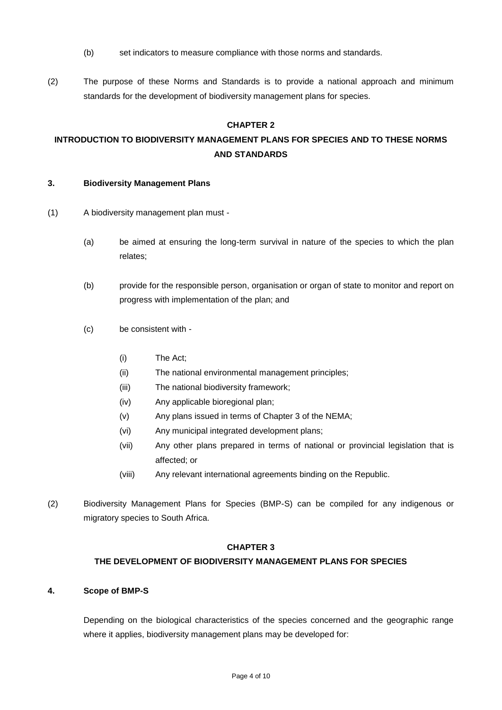- (b) set indicators to measure compliance with those norms and standards.
- (2) The purpose of these Norms and Standards is to provide a national approach and minimum standards for the development of biodiversity management plans for species.

## **CHAPTER 2**

## **INTRODUCTION TO BIODIVERSITY MANAGEMENT PLANS FOR SPECIES AND TO THESE NORMS AND STANDARDS**

#### **3. Biodiversity Management Plans**

- (1) A biodiversity management plan must
	- (a) be aimed at ensuring the long-term survival in nature of the species to which the plan relates;
	- (b) provide for the responsible person, organisation or organ of state to monitor and report on progress with implementation of the plan; and
	- (c) be consistent with
		- (i) The Act;
		- (ii) The national environmental management principles;
		- (iii) The national biodiversity framework;
		- (iv) Any applicable bioregional plan;
		- (v) Any plans issued in terms of Chapter 3 of the NEMA;
		- (vi) Any municipal integrated development plans;
		- (vii) Any other plans prepared in terms of national or provincial legislation that is affected; or
		- (viii) Any relevant international agreements binding on the Republic.
- (2) Biodiversity Management Plans for Species (BMP-S) can be compiled for any indigenous or migratory species to South Africa.

### **CHAPTER 3**

#### **THE DEVELOPMENT OF BIODIVERSITY MANAGEMENT PLANS FOR SPECIES**

#### **4. Scope of BMP-S**

Depending on the biological characteristics of the species concerned and the geographic range where it applies, biodiversity management plans may be developed for: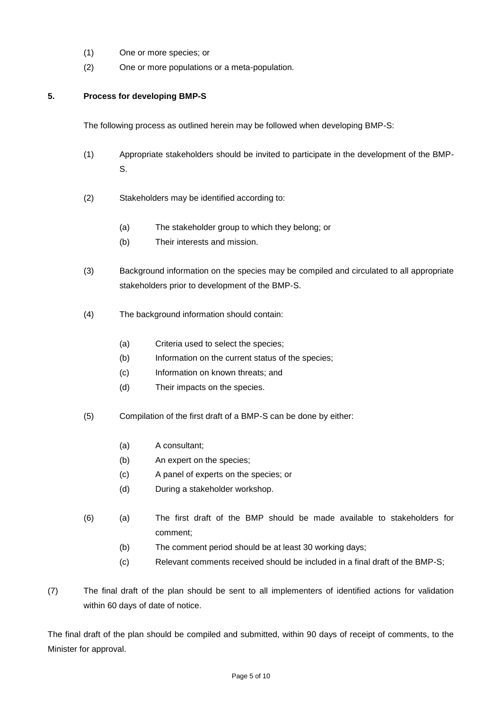- (1) One or more species; or
- (2) One or more populations or a meta-population.

### **5. Process for developing BMP-S**

The following process as outlined herein may be followed when developing BMP-S:

- (1) Appropriate stakeholders should be invited to participate in the development of the BMP-S.
- (2) Stakeholders may be identified according to:
	- (a) The stakeholder group to which they belong; or
	- (b) Their interests and mission.
- (3) Background information on the species may be compiled and circulated to all appropriate stakeholders prior to development of the BMP-S.
- (4) The background information should contain:
	- (a) Criteria used to select the species;
	- (b) Information on the current status of the species;
	- (c) Information on known threats; and
	- (d) Their impacts on the species.
- (5) Compilation of the first draft of a BMP-S can be done by either:
	- (a) A consultant;
	- (b) An expert on the species;
	- (c) A panel of experts on the species; or
	- (d) During a stakeholder workshop.
- (6) (a) The first draft of the BMP should be made available to stakeholders for comment;
	- (b) The comment period should be at least 30 working days;
	- (c) Relevant comments received should be included in a final draft of the BMP-S;
- (7) The final draft of the plan should be sent to all implementers of identified actions for validation within 60 days of date of notice.

The final draft of the plan should be compiled and submitted, within 90 days of receipt of comments, to the Minister for approval.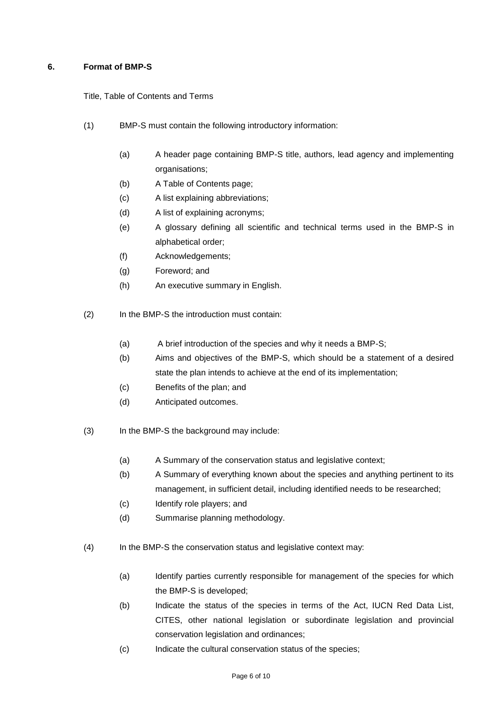## **6. Format of BMP-S**

Title, Table of Contents and Terms

- (1) BMP-S must contain the following introductory information:
	- (a) A header page containing BMP-S title, authors, lead agency and implementing organisations;
	- (b) A Table of Contents page;
	- (c) A list explaining abbreviations;
	- (d) A list of explaining acronyms;
	- (e) A glossary defining all scientific and technical terms used in the BMP-S in alphabetical order;
	- (f) Acknowledgements;
	- (g) Foreword; and
	- (h) An executive summary in English.
- (2) In the BMP-S the introduction must contain:
	- (a) A brief introduction of the species and why it needs a BMP-S;
	- (b) Aims and objectives of the BMP-S, which should be a statement of a desired state the plan intends to achieve at the end of its implementation;
	- (c) Benefits of the plan; and
	- (d) Anticipated outcomes.
- (3) In the BMP-S the background may include:
	- (a) A Summary of the conservation status and legislative context;
	- (b) A Summary of everything known about the species and anything pertinent to its management, in sufficient detail, including identified needs to be researched;
	- (c) Identify role players; and
	- (d) Summarise planning methodology.
- (4) In the BMP-S the conservation status and legislative context may:
	- (a) Identify parties currently responsible for management of the species for which the BMP-S is developed;
	- (b) Indicate the status of the species in terms of the Act, IUCN Red Data List, CITES, other national legislation or subordinate legislation and provincial conservation legislation and ordinances;
	- (c) Indicate the cultural conservation status of the species;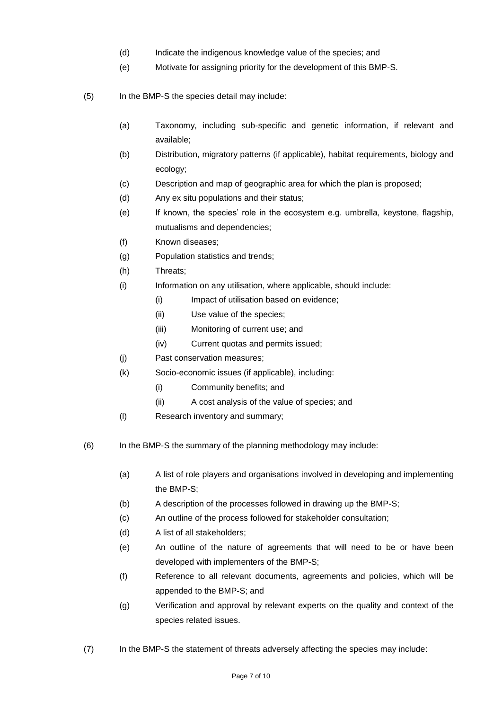- (d) Indicate the indigenous knowledge value of the species; and
- (e) Motivate for assigning priority for the development of this BMP-S.
- (5) In the BMP-S the species detail may include:
	- (a) Taxonomy, including sub-specific and genetic information, if relevant and available;
	- (b) Distribution, migratory patterns (if applicable), habitat requirements, biology and ecology;
	- (c) Description and map of geographic area for which the plan is proposed;
	- (d) Any ex situ populations and their status;
	- (e) If known, the species' role in the ecosystem e.g. umbrella, keystone, flagship, mutualisms and dependencies;
	- (f) Known diseases;
	- (g) Population statistics and trends;
	- (h) Threats;
	- (i) Information on any utilisation, where applicable, should include:
		- (i) Impact of utilisation based on evidence;
		- (ii) Use value of the species;
		- (iii) Monitoring of current use; and
		- (iv) Current quotas and permits issued;
	- (j) Past conservation measures;
	- (k) Socio-economic issues (if applicable), including:
		- (i) Community benefits; and
		- (ii) A cost analysis of the value of species; and
	- (l) Research inventory and summary;
- (6) In the BMP-S the summary of the planning methodology may include:
	- (a) A list of role players and organisations involved in developing and implementing the BMP-S;
	- (b) A description of the processes followed in drawing up the BMP-S;
	- (c) An outline of the process followed for stakeholder consultation;
	- (d) A list of all stakeholders;
	- (e) An outline of the nature of agreements that will need to be or have been developed with implementers of the BMP-S;
	- (f) Reference to all relevant documents, agreements and policies, which will be appended to the BMP-S; and
	- (g) Verification and approval by relevant experts on the quality and context of the species related issues.
- (7) In the BMP-S the statement of threats adversely affecting the species may include: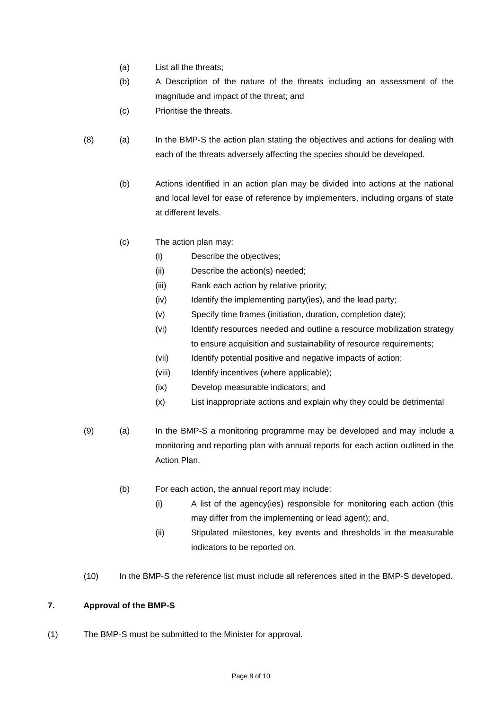- (a) List all the threats;
- (b) A Description of the nature of the threats including an assessment of the magnitude and impact of the threat; and
- (c) Prioritise the threats.
- (8) (a) In the BMP-S the action plan stating the objectives and actions for dealing with each of the threats adversely affecting the species should be developed.
	- (b) Actions identified in an action plan may be divided into actions at the national and local level for ease of reference by implementers, including organs of state at different levels.
	- (c) The action plan may:
		- (i) Describe the objectives;
		- (ii) Describe the action(s) needed;
		- (iii) Rank each action by relative priority;
		- (iv) Identify the implementing party(ies), and the lead party;
		- (v) Specify time frames (initiation, duration, completion date);
		- (vi) Identify resources needed and outline a resource mobilization strategy to ensure acquisition and sustainability of resource requirements;
		- (vii) Identify potential positive and negative impacts of action;
		- (viii) Identify incentives (where applicable);
		- (ix) Develop measurable indicators; and
		- (x) List inappropriate actions and explain why they could be detrimental
- (9) (a) In the BMP-S a monitoring programme may be developed and may include a monitoring and reporting plan with annual reports for each action outlined in the Action Plan.
	- (b) For each action, the annual report may include:
		- (i) A list of the agency(ies) responsible for monitoring each action (this may differ from the implementing or lead agent); and,
		- (ii) Stipulated milestones, key events and thresholds in the measurable indicators to be reported on.
- (10) In the BMP-S the reference list must include all references sited in the BMP-S developed.

## **7. Approval of the BMP-S**

(1) The BMP-S must be submitted to the Minister for approval.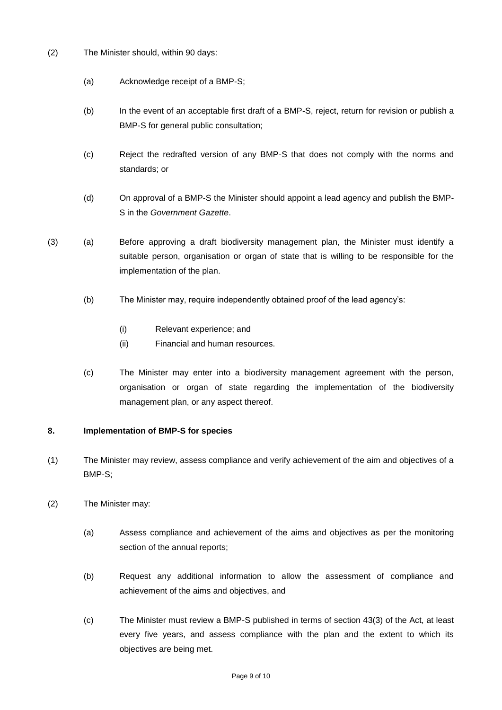- (2) The Minister should, within 90 days:
	- (a) Acknowledge receipt of a BMP-S;
	- (b) In the event of an acceptable first draft of a BMP-S, reject, return for revision or publish a BMP-S for general public consultation;
	- (c) Reject the redrafted version of any BMP-S that does not comply with the norms and standards; or
	- (d) On approval of a BMP-S the Minister should appoint a lead agency and publish the BMP-S in the *Government Gazette*.
- (3) (a) Before approving a draft biodiversity management plan, the Minister must identify a suitable person, organisation or organ of state that is willing to be responsible for the implementation of the plan.
	- (b) The Minister may, require independently obtained proof of the lead agency's:
		- (i) Relevant experience; and
		- (ii) Financial and human resources.
	- (c) The Minister may enter into a biodiversity management agreement with the person, organisation or organ of state regarding the implementation of the biodiversity management plan, or any aspect thereof.

#### **8. Implementation of BMP-S for species**

- (1) The Minister may review, assess compliance and verify achievement of the aim and objectives of a BMP-S;
- (2) The Minister may:
	- (a) Assess compliance and achievement of the aims and objectives as per the monitoring section of the annual reports;
	- (b) Request any additional information to allow the assessment of compliance and achievement of the aims and objectives, and
	- (c) The Minister must review a BMP-S published in terms of section 43(3) of the Act, at least every five years, and assess compliance with the plan and the extent to which its objectives are being met.